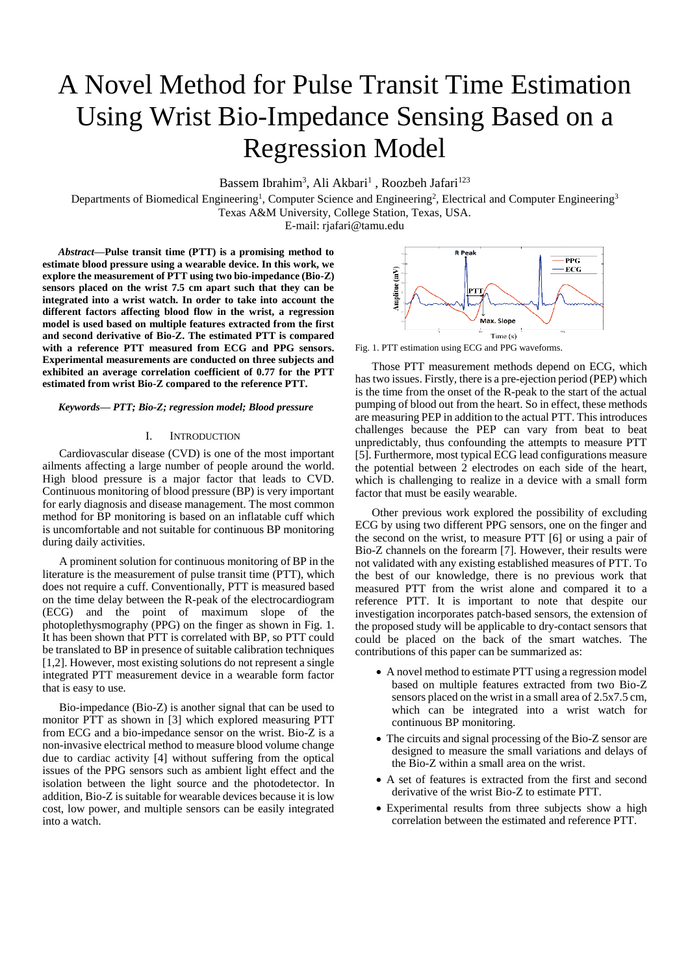# A Novel Method for Pulse Transit Time Estimation Using Wrist Bio-Impedance Sensing Based on a Regression Model

Bassem Ibrahim<sup>3</sup>, Ali Akbari<sup>1</sup>, Roozbeh Jafari<sup>123</sup>

Departments of Biomedical Engineering<sup>1</sup>, Computer Science and Engineering<sup>2</sup>, Electrical and Computer Engineering<sup>3</sup> Texas A&M University, College Station, Texas, USA.

E-mail: rjafari@tamu.edu

*Abstract***—Pulse transit time (PTT) is a promising method to estimate blood pressure using a wearable device. In this work, we explore the measurement of PTT using two bio-impedance (Bio-Z) sensors placed on the wrist 7.5 cm apart such that they can be integrated into a wrist watch. In order to take into account the different factors affecting blood flow in the wrist, a regression model is used based on multiple features extracted from the first and second derivative of Bio-Z. The estimated PTT is compared with a reference PTT measured from ECG and PPG sensors. Experimental measurements are conducted on three subjects and exhibited an average correlation coefficient of 0.77 for the PTT estimated from wrist Bio-Z compared to the reference PTT.**

# *Keywords— PTT; Bio-Z; regression model; Blood pressure*

# I. INTRODUCTION

Cardiovascular disease (CVD) is one of the most important ailments affecting a large number of people around the world. High blood pressure is a major factor that leads to CVD. Continuous monitoring of blood pressure (BP) is very important for early diagnosis and disease management. The most common method for BP monitoring is based on an inflatable cuff which is uncomfortable and not suitable for continuous BP monitoring during daily activities.

A prominent solution for continuous monitoring of BP in the literature is the measurement of pulse transit time (PTT), which does not require a cuff. Conventionally, PTT is measured based on the time delay between the R-peak of the electrocardiogram (ECG) and the point of maximum slope of the photoplethysmography (PPG) on the finger as shown in [Fig. 1.](#page-0-0) It has been shown that PTT is correlated with BP, so PTT could be translated to BP in presence of suitable calibration techniques [1,2]. However, most existing solutions do not represent a single integrated PTT measurement device in a wearable form factor that is easy to use.

Bio-impedance (Bio-Z) is another signal that can be used to monitor PTT as shown in [3] which explored measuring PTT from ECG and a bio-impedance sensor on the wrist. Bio-Z is a non-invasive electrical method to measure blood volume change due to cardiac activity [4] without suffering from the optical issues of the PPG sensors such as ambient light effect and the isolation between the light source and the photodetector. In addition, Bio-Z is suitable for wearable devices because it is low cost, low power, and multiple sensors can be easily integrated into a watch.



<span id="page-0-0"></span>Fig. 1. PTT estimation using ECG and PPG waveforms.

Those PTT measurement methods depend on ECG, which has two issues. Firstly, there is a pre-ejection period (PEP) which is the time from the onset of the R-peak to the start of the actual pumping of blood out from the heart. So in effect, these methods are measuring PEP in addition to the actual PTT. This introduces challenges because the PEP can vary from beat to beat unpredictably, thus confounding the attempts to measure PTT [5]. Furthermore, most typical ECG lead configurations measure the potential between 2 electrodes on each side of the heart, which is challenging to realize in a device with a small form factor that must be easily wearable.

Other previous work explored the possibility of excluding ECG by using two different PPG sensors, one on the finger and the second on the wrist, to measure PTT [6] or using a pair of Bio-Z channels on the forearm [7]. However, their results were not validated with any existing established measures of PTT. To the best of our knowledge, there is no previous work that measured PTT from the wrist alone and compared it to a reference PTT. It is important to note that despite our investigation incorporates patch-based sensors, the extension of the proposed study will be applicable to dry-contact sensors that could be placed on the back of the smart watches. The contributions of this paper can be summarized as:

- A novel method to estimate PTT using a regression model based on multiple features extracted from two Bio-Z sensors placed on the wrist in a small area of 2.5x7.5 cm, which can be integrated into a wrist watch for continuous BP monitoring.
- The circuits and signal processing of the Bio-Z sensor are designed to measure the small variations and delays of the Bio-Z within a small area on the wrist.
- A set of features is extracted from the first and second derivative of the wrist Bio-Z to estimate PTT.
- Experimental results from three subjects show a high correlation between the estimated and reference PTT.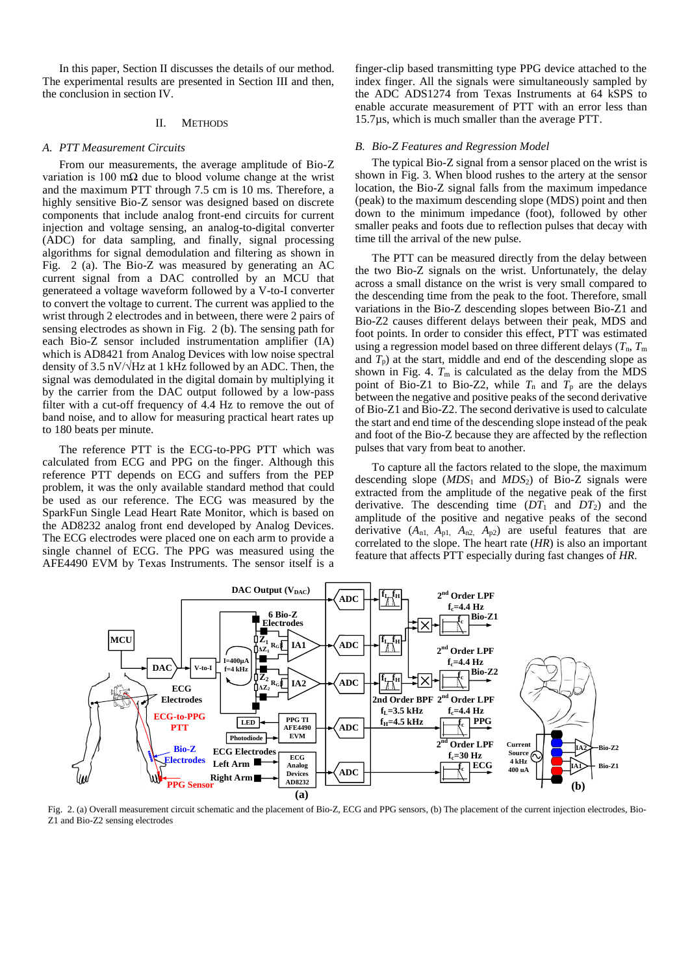In this paper, Section II discusses the details of our method. The experimental results are presented in Section III and then, the conclusion in section IV.

# II. METHODS

#### *A. PTT Measurement Circuits*

From our measurements, the average amplitude of Bio-Z variation is 100 m $\Omega$  due to blood volume change at the wrist and the maximum PTT through 7.5 cm is 10 ms. Therefore, a highly sensitive Bio-Z sensor was designed based on discrete components that include analog front-end circuits for current injection and voltage sensing, an analog-to-digital converter (ADC) for data sampling, and finally, signal processing algorithms for signal demodulation and filtering as shown in [Fig. 2](#page-1-0) (a). The Bio-Z was measured by generating an AC current signal from a DAC controlled by an MCU that generateed a voltage waveform followed by a V-to-I converter to convert the voltage to current. The current was applied to the wrist through 2 electrodes and in between, there were 2 pairs of sensing electrodes as shown in [Fig. 2](#page-1-0) (b). The sensing path for each Bio-Z sensor included instrumentation amplifier (IA) which is AD8421 from Analog Devices with low noise spectral density of 3.5 nV/ $\sqrt{Hz}$  at 1 kHz followed by an ADC. Then, the signal was demodulated in the digital domain by multiplying it by the carrier from the DAC output followed by a low-pass filter with a cut-off frequency of 4.4 Hz to remove the out of band noise, and to allow for measuring practical heart rates up to 180 beats per minute.

The reference PTT is the ECG-to-PPG PTT which was calculated from ECG and PPG on the finger. Although this reference PTT depends on ECG and suffers from the PEP problem, it was the only available standard method that could be used as our reference. The ECG was measured by the SparkFun Single Lead Heart Rate Monitor, which is based on the AD8232 analog front end developed by Analog Devices. The ECG electrodes were placed one on each arm to provide a single channel of ECG. The PPG was measured using the AFE4490 EVM by Texas Instruments. The sensor itself is a finger-clip based transmitting type PPG device attached to the index finger. All the signals were simultaneously sampled by the ADC ADS1274 from Texas Instruments at 64 kSPS to enable accurate measurement of PTT with an error less than 15.7µs, which is much smaller than the average PTT.

# *B. Bio-Z Features and Regression Model*

The typical Bio-Z signal from a sensor placed on the wrist is shown in Fig. 3. When blood rushes to the artery at the sensor location, the Bio-Z signal falls from the maximum impedance (peak) to the maximum descending slope (MDS) point and then down to the minimum impedance (foot), followed by other smaller peaks and foots due to reflection pulses that decay with time till the arrival of the new pulse.

The PTT can be measured directly from the delay between the two Bio-Z signals on the wrist. Unfortunately, the delay across a small distance on the wrist is very small compared to the descending time from the peak to the foot. Therefore, small variations in the Bio-Z descending slopes between Bio-Z1 and Bio-Z2 causes different delays between their peak, MDS and foot points. In order to consider this effect, PTT was estimated using a regression model based on three different delays  $(T_n, T_m)$ and  $T_p$ ) at the start, middle and end of the descending slope as shown in [Fig. 4.](#page-2-0)  $T_m$  is calculated as the delay from the MDS point of Bio-Z1 to Bio-Z2, while  $T_n$  and  $T_p$  are the delays between the negative and positive peaks of the second derivative of Bio-Z1 and Bio-Z2. The second derivative is used to calculate the start and end time of the descending slope instead of the peak and foot of the Bio-Z because they are affected by the reflection pulses that vary from beat to another.

To capture all the factors related to the slope, the maximum descending slope  $(MDS_1$  and  $MDS_2$ ) of Bio-Z signals were extracted from the amplitude of the negative peak of the first derivative. The descending time  $(DT_1$  and  $DT_2$ ) and the amplitude of the positive and negative peaks of the second derivative  $(A_{n1}, A_{p1}, A_{n2}, A_{p2})$  are useful features that are correlated to the slope. The heart rate (*HR*) is also an important feature that affects PTT especially during fast changes of *HR*.



<span id="page-1-0"></span>Fig. 2. (a) Overall measurement circuit schematic and the placement of Bio-Z, ECG and PPG sensors, (b) The placement of the current injection electrodes, Bio-Z1 and Bio-Z2 sensing electrodes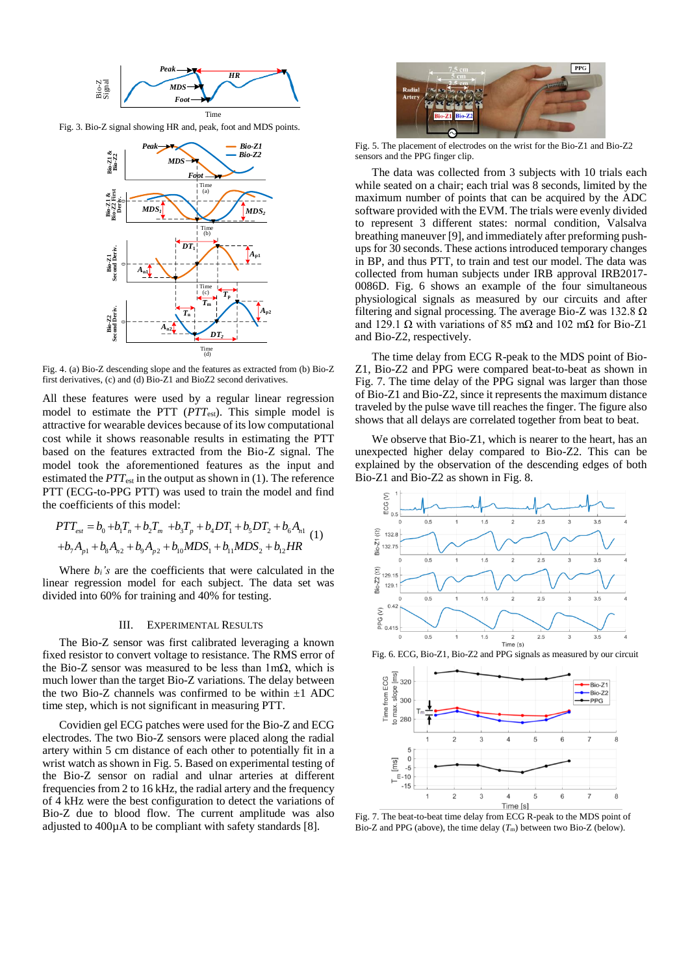

Fig. 3. Bio-Z signal showing HR and, peak, foot and MDS points.



<span id="page-2-0"></span>Fig. 4. (a) Bio-Z descending slope and the features as extracted from (b) Bio-Z first derivatives, (c) and (d) Bio-Z1 and BioZ2 second derivatives.

All these features were used by a regular linear regression model to estimate the PTT (*PTT*<sub>est</sub>). This simple model is attractive for wearable devices because of its low computational cost while it shows reasonable results in estimating the PTT based on the features extracted from the Bio-Z signal. The model took the aforementioned features as the input and estimated the *PTT*<sub>est</sub> in the output as shown in (1). The reference PTT (ECG-to-PPG PTT) was used to train the model and find the coefficients of this model:

$$
PTT_{est} = b_0 + b_1 T_n + b_2 T_m + b_3 T_p + b_4 DT_1 + b_5 DT_2 + b_6 A_{n1}
$$
  
+ $b_7 A_{p1} + b_8 A_{n2} + b_9 A_{p2} + b_{10} MDS_1 + b_{11} MDS_2 + b_{12} HR$  (1)

Where  $b_i$ 's are the coefficients that were calculated in the linear regression model for each subject. The data set was divided into 60% for training and 40% for testing.

### III. EXPERIMENTAL RESULTS

The Bio-Z sensor was first calibrated leveraging a known fixed resistor to convert voltage to resistance. The RMS error of the Bio-Z sensor was measured to be less than  $1 \text{m}\Omega$ , which is much lower than the target Bio-Z variations. The delay between the two Bio-Z channels was confirmed to be within  $\pm 1$  ADC time step, which is not significant in measuring PTT.

Covidien gel ECG patches were used for the Bio-Z and ECG electrodes. The two Bio-Z sensors were placed along the radial artery within 5 cm distance of each other to potentially fit in a wrist watch as shown in [Fig. 5.](#page-2-1) Based on experimental testing of the Bio-Z sensor on radial and ulnar arteries at different frequencies from 2 to 16 kHz, the radial artery and the frequency of 4 kHz were the best configuration to detect the variations of Bio-Z due to blood flow. The current amplitude was also adjusted to 400µA to be compliant with safety standards [8].



Fig. 5. The placement of electrodes on the wrist for the Bio-Z1 and Bio-Z2 sensors and the PPG finger clip.

<span id="page-2-1"></span>The data was collected from 3 subjects with 10 trials each while seated on a chair; each trial was 8 seconds, limited by the maximum number of points that can be acquired by the ADC software provided with the EVM. The trials were evenly divided to represent 3 different states: normal condition, Valsalva breathing maneuver [9], and immediately after preforming pushups for 30 seconds. These actions introduced temporary changes in BP, and thus PTT, to train and test our model. The data was collected from human subjects under IRB approval IRB2017- 0086D. [Fig. 6](#page-2-2) shows an example of the four simultaneous physiological signals as measured by our circuits and after filtering and signal processing. The average Bio-Z was 132.8  $\Omega$ and 129.1 Ω with variations of 85 mΩ and 102 mΩ for Bio-Z1 and Bio-Z2, respectively.

The time delay from ECG R-peak to the MDS point of Bio-Z1, Bio-Z2 and PPG were compared beat-to-beat as shown in [Fig. 7.](#page-2-3) The time delay of the PPG signal was larger than those of Bio-Z1 and Bio-Z2, since it represents the maximum distance traveled by the pulse wave till reaches the finger. The figure also shows that all delays are correlated together from beat to beat.

We observe that Bio-Z1, which is nearer to the heart, has an unexpected higher delay compared to Bio-Z2. This can be explained by the observation of the descending edges of both Bio-Z1 and Bio-Z2 as shown in Fig. 8.



<span id="page-2-2"></span>Fig. 6. ECG, Bio-Z1, Bio-Z2 and PPG signals as measured by our circuit



<span id="page-2-3"></span>Fig. 7. The beat-to-beat time delay from ECG R-peak to the MDS point of Bio-Z and PPG (above), the time delay  $(T<sub>m</sub>)$  between two Bio-Z (below).